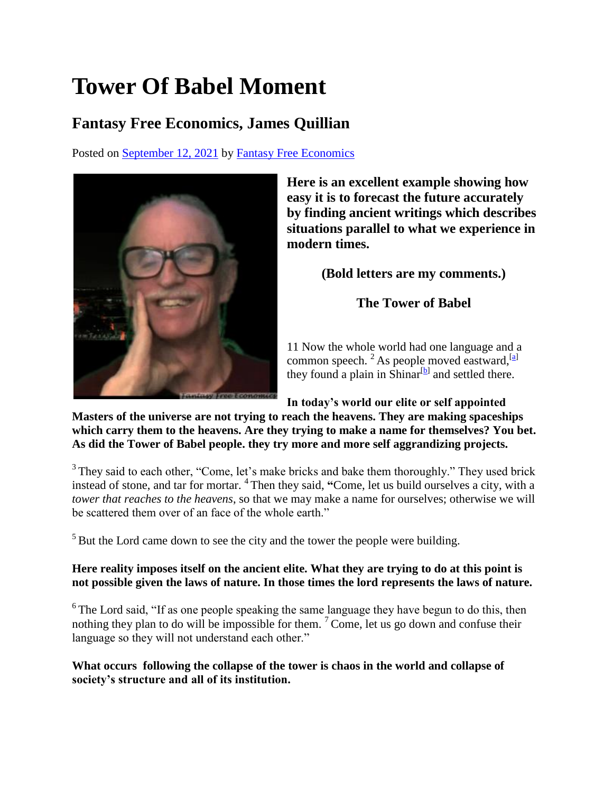## **Tower Of Babel Moment**

## **Fantasy Free Economics, James Quillian**

Posted on [September 12, 2021](http://quillian.net/blog/?p=7668) by [Fantasy Free Economics](http://quillian.net/blog/author/james-quillian/)



**Here is an excellent example showing how easy it is to forecast the future accurately by finding ancient writings which describes situations parallel to what we experience in modern times.**

**(Bold letters are my comments.)**

**The Tower of Babel**

11 Now the whole world had one language and a common speech. <sup>2</sup> As people moved eastward,<sup>[\[a\]](https://www.biblegateway.com/passage/?search=Genesis+11%3A1-9&version=NIV#fen-NIV-269a)</sup> they found a plain in Shinar $[$ bl and settled there.

**In today's world our elite or self appointed** 

**Masters of the universe are not trying to reach the heavens. They are making spaceships which carry them to the heavens. Are they trying to make a name for themselves? You bet. As did the Tower of Babel people. they try more and more self aggrandizing projects.**

 $3$  They said to each other, "Come, let's make bricks and bake them thoroughly." They used brick instead of stone, and tar for mortar. <sup>4</sup> Then they said, **"**Come, let us build ourselves a city, with a *tower that reaches to the heavens*, so that we may make a name for ourselves; otherwise we will be scattered them over of an face of the whole earth."

 $<sup>5</sup>$  But the Lord came down to see the city and the tower the people were building.</sup>

## **Here reality imposes itself on the ancient elite. What they are trying to do at this point is not possible given the laws of nature. In those times the lord represents the laws of nature.**

 $6$ The Lord said, "If as one people speaking the same language they have begun to do this, then nothing they plan to do will be impossible for them.  $\sqrt{7}$  Come, let us go down and confuse their language so they will not understand each other."

**What occurs following the collapse of the tower is chaos in the world and collapse of society's structure and all of its institution.**